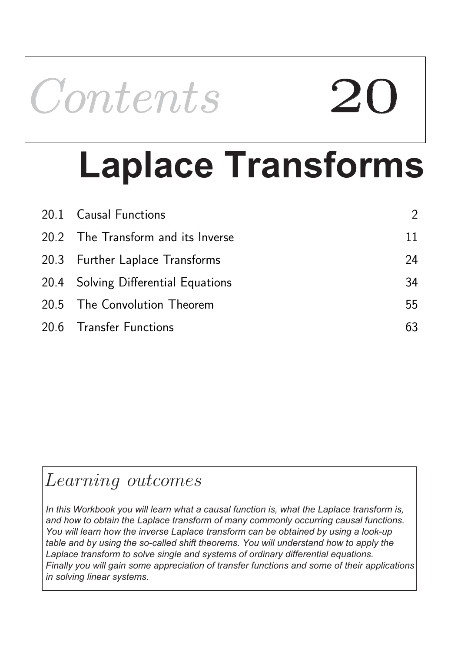

# **Laplace Transforms**

| 20.1 Causal Functions               | $\mathcal{P}$ |
|-------------------------------------|---------------|
| 20.2 The Transform and its Inverse  | 11            |
| 20.3 Further Laplace Transforms     | 24            |
| 20.4 Solving Differential Equations | 34            |
| 20.5 The Convolution Theorem        | 55            |
| 20.6 Transfer Functions             | 63            |

## Learning outcomes

*In this Workbook you will learn what a causal function is, what the Laplace transform is, and how to obtain the Laplace transform of many commonly occurring causal functions. You will learn how the inverse Laplace transform can be obtained by using a look-up table and by using the so-called shift theorems. You will understand how to apply the Laplace transform to solve single and systems of ordinary differential equations. Finally you will gain some appreciation of transfer functions and some of their applications in solving linear systems.*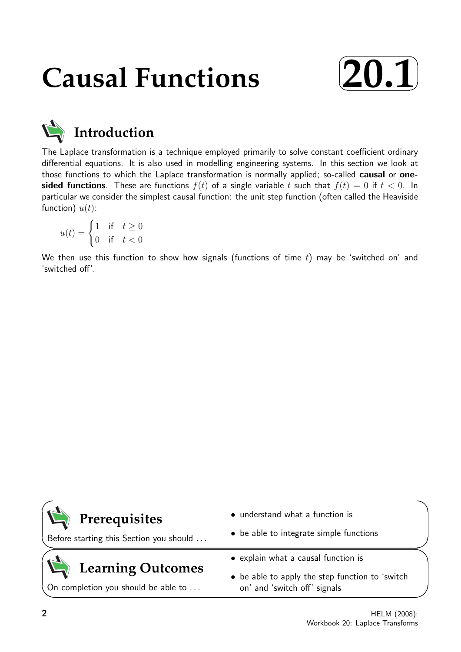## **Causal Functions**





## **Introduction**

The Laplace transformation is a technique employed primarily to solve constant coefficient ordinary differential equations. It is also used in modelling engineering systems. In this section we look at those functions to which the Laplace transformation is normally applied; so-called **causal** or **one**sided functions. These are functions  $f(t)$  of a single variable t such that  $f(t) = 0$  if  $t < 0$ . In particular we consider the simplest causal function: the unit step function (often called the Heaviside function)  $u(t)$ :

$$
u(t) = \begin{cases} 1 & \text{if} \quad t \ge 0 \\ 0 & \text{if} \quad t < 0 \end{cases}
$$

We then use this function to show how signals (functions of time  $t$ ) may be 'switched on' and 'switched off'.

### **Prerequisites**

Before starting this Section you should . . .

## **Learning Outcomes**

On completion you should be able to ...

- understand what a function is
- be able to integrate simple functions
- explain what a causal function is
- be able to apply the step function to 'switch on' and 'switch off' signals

 $\overline{\phantom{0}}$ 

 $\searrow$ 

 $\geq$ 

 $\overline{\phantom{0}}$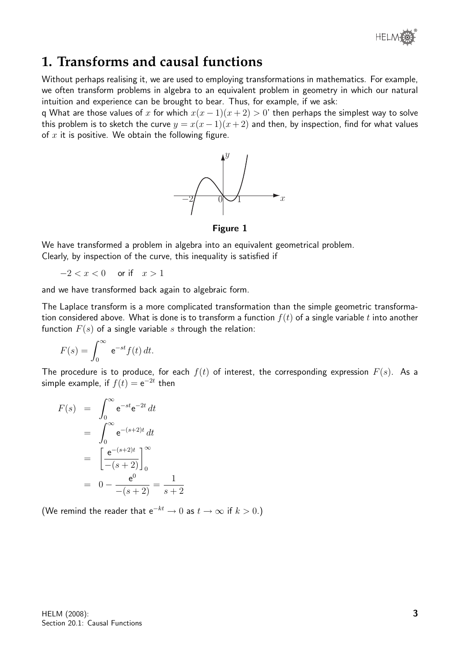

### **1. Transforms and causal functions**

Without perhaps realising it, we are used to employing transformations in mathematics. For example, we often transform problems in algebra to an equivalent problem in geometry in which our natural intuition and experience can be brought to bear. Thus, for example, if we ask:

q What are those values of x for which  $x(x - 1)(x + 2) > 0$ ' then perhaps the simplest way to solve this problem is to sketch the curve  $y = x(x-1)(x+2)$  and then, by inspection, find for what values of  $x$  it is positive. We obtain the following figure.



Figure 1

We have transformed a problem in algebra into an equivalent geometrical problem. Clearly, by inspection of the curve, this inequality is satisfied if

 $-2 < x < 0$  or if  $x > 1$ 

and we have transformed back again to algebraic form.

The Laplace transform is a more complicated transformation than the simple geometric transformation considered above. What is done is to transform a function  $f(t)$  of a single variable t into another function  $F(s)$  of a single variable s through the relation:

$$
F(s) = \int_0^\infty e^{-st} f(t) dt.
$$

The procedure is to produce, for each  $f(t)$  of interest, the corresponding expression  $F(s)$ . As a simple example, if  $f(t) = e^{-2t}$  then

$$
F(s) = \int_0^\infty e^{-st} e^{-2t} dt
$$
  
= 
$$
\int_0^\infty e^{-(s+2)t} dt
$$
  
= 
$$
\left[ \frac{e^{-(s+2)t}}{-(s+2)} \right]_0^\infty
$$
  
= 
$$
0 - \frac{e^0}{-(s+2)} = \frac{1}{s+2}
$$

(We remind the reader that  $e^{-kt} \to 0$  as  $t \to \infty$  if  $k > 0$ .)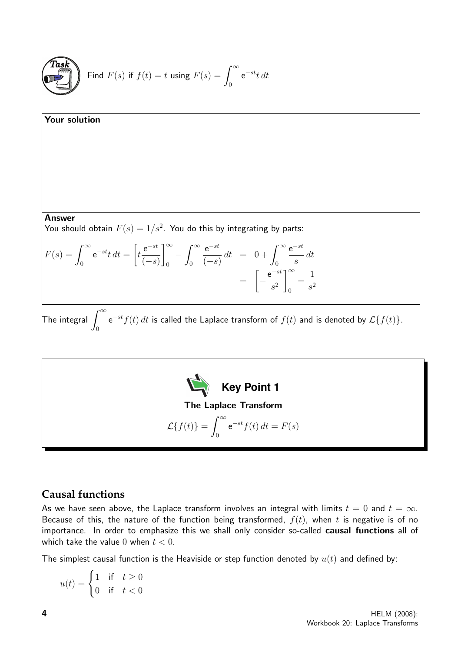

Find 
$$
F(s)
$$
 if  $f(t) = t$  using  $F(s) = \int_0^\infty e^{-st} t dt$ 

**Your solution**  
\nAnswer  
\nYou should obtain 
$$
F(s) = 1/s^2
$$
. You do this by integrating by parts:  
\n
$$
F(s) = \int_0^\infty e^{-st} t \, dt = \left[ t \frac{e^{-st}}{(-s)} \right]_0^\infty - \int_0^\infty \frac{e^{-st}}{(-s)} \, dt = 0 + \int_0^\infty \frac{e^{-st}}{s} \, dt
$$
\n
$$
= \left[ -\frac{e^{-st}}{s^2} \right]_0^\infty = \frac{1}{s^2}
$$

The integral  $\int^\infty$  $\boldsymbol{0}$  $e^{-st}f(t)$  dt is called the Laplace transform of  $f(t)$  and is denoted by  $\mathcal{L}\{f(t)\}.$ 



#### **Causal functions**

As we have seen above, the Laplace transform involves an integral with limits  $t = 0$  and  $t = \infty$ . Because of this, the nature of the function being transformed,  $f(t)$ , when t is negative is of no importance. In order to emphasize this we shall only consider so-called causal functions all of which take the value 0 when  $t < 0$ .

The simplest causal function is the Heaviside or step function denoted by  $u(t)$  and defined by:

$$
u(t) = \begin{cases} 1 & \text{if} \quad t \ge 0 \\ 0 & \text{if} \quad t < 0 \end{cases}
$$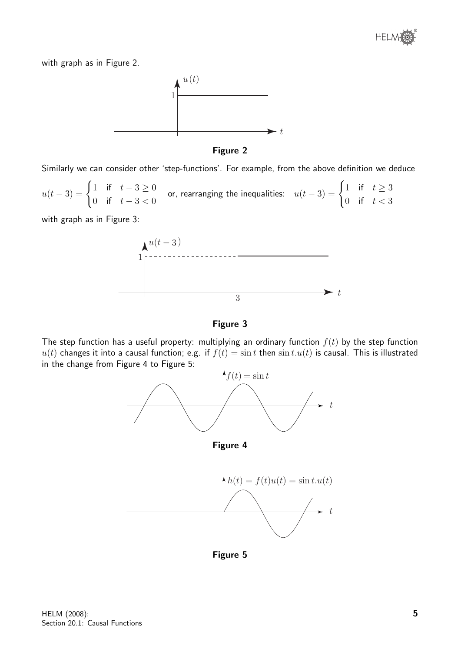

with graph as in Figure 2.





Similarly we can consider other 'step-functions'. For example, from the above definition we deduce

 $u(t-3) = \begin{cases} 1 & \text{if } t-3 \geq 0 \\ 0 & \text{if } t \geq 0 \end{cases}$ 0 if  $t - 3 < 0$ or, rearranging the inequalities:  $u(t-3) = \begin{cases} 1 & \text{if } t \geq 3 \\ 0 & \text{if } t \geq 3 \end{cases}$ 0 if  $t < 3$ 

with graph as in Figure 3:



Figure 3

The step function has a useful property: multiplying an ordinary function  $f(t)$  by the step function  $u(t)$  changes it into a causal function; e.g. if  $f(t) = \sin t$  then  $\sin t \cdot u(t)$  is causal. This is illustrated in the change from Figure 4 to Figure 5:



Figure 4



Figure 5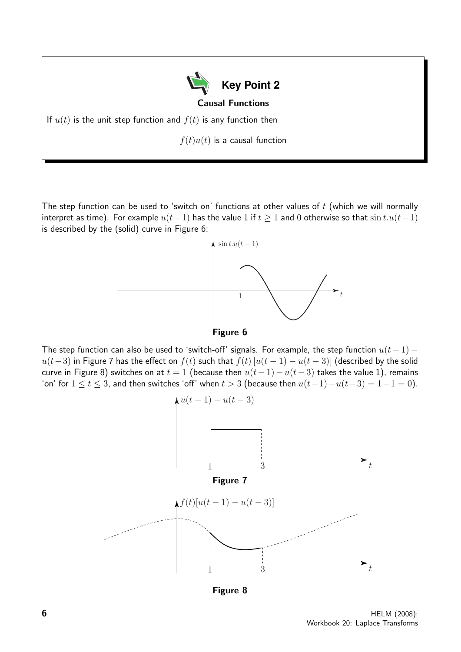**Key Point 2** Causal Functions If  $u(t)$  is the unit step function and  $f(t)$  is any function then  $f(t)u(t)$  is a causal function

The step function can be used to 'switch on' functions at other values of  $t$  (which we will normally interpret as time). For example  $u(t-1)$  has the value 1 if  $t \ge 1$  and 0 otherwise so that  $\sin t \cdot u(t-1)$ is described by the (solid) curve in Figure 6:





The step function can also be used to 'switch-off' signals. For example, the step function  $u(t-1)$  –  $u(t-3)$  in Figure 7 has the effect on  $f(t)$  such that  $f(t)$  [ $u(t-1) - u(t-3)$ ] (described by the solid curve in Figure 8) switches on at  $t = 1$  (because then  $u(t-1) - u(t-3)$  takes the value 1), remains 'on' for  $1 \le t \le 3$ , and then switches 'off' when  $t > 3$  (because then  $u(t-1)-u(t-3) = 1-1 = 0$ ).



Figure 8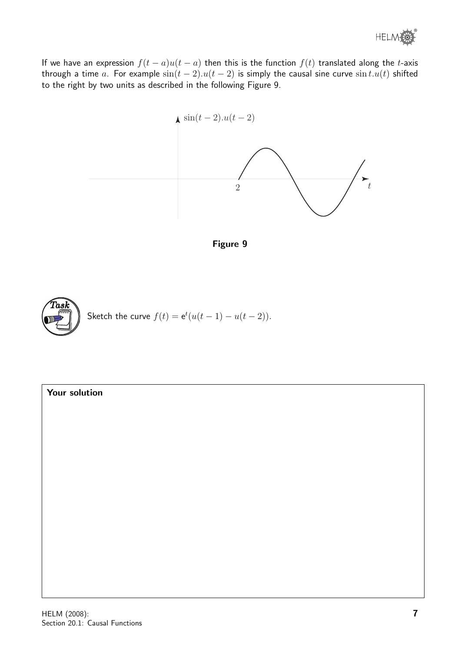® HELM

If we have an expression  $f(t - a)u(t - a)$  then this is the function  $f(t)$  translated along the t-axis through a time a. For example  $sin(t - 2) \cdot u(t - 2)$  is simply the causal sine curve  $sin t \cdot u(t)$  shifted to the right by two units as described in the following Figure 9.



Figure 9



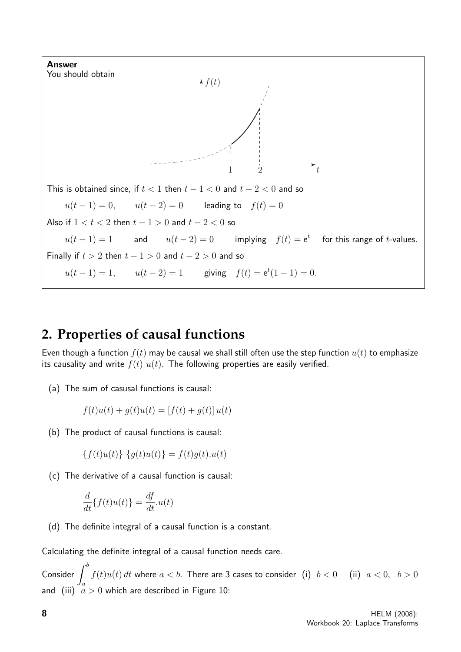

### **2. Properties of causal functions**

Even though a function  $f(t)$  may be causal we shall still often use the step function  $u(t)$  to emphasize its causality and write  $f(t)$   $u(t)$ . The following properties are easily verified.

(a) The sum of casusal functions is causal:

$$
f(t)u(t) + g(t)u(t) = [f(t) + g(t)]u(t)
$$

(b) The product of causal functions is causal:

$$
\{f(t)u(t)\}\ \{g(t)u(t)\} = f(t)g(t).u(t)
$$

(c) The derivative of a causal function is causal:

$$
\frac{d}{dt}\{f(t)u(t)\} = \frac{df}{dt}.u(t)
$$

(d) The definite integral of a causal function is a constant.

Calculating the definite integral of a causal function needs care.

Consider  $\int^b$ a  $f(t)u(t)$  dt where  $a < b$ . There are 3 cases to consider (i)  $b < 0$  (ii)  $a < 0$ ,  $b > 0$ and (iii)  $a > 0$  which are described in Figure 10: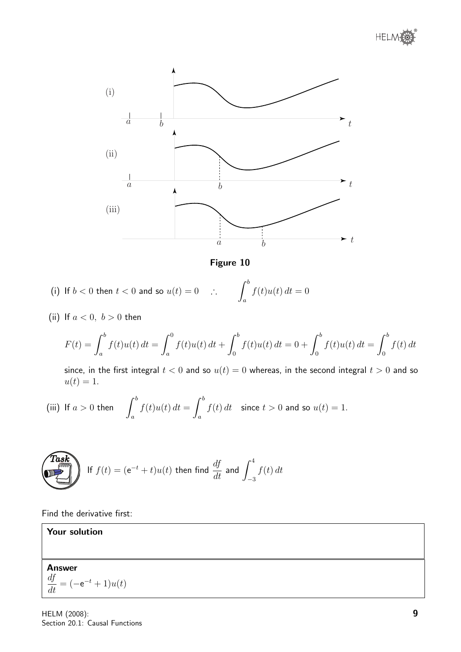



Figure 10

(i) If 
$$
b < 0
$$
 then  $t < 0$  and so  $u(t) = 0$   $\therefore$   $\int_a^b f(t)u(t) dt = 0$ 

(ii) If  $a < 0$ ,  $b > 0$  then

$$
F(t) = \int_{a}^{b} f(t)u(t) dt = \int_{a}^{0} f(t)u(t) dt + \int_{0}^{b} f(t)u(t) dt = 0 + \int_{0}^{b} f(t)u(t) dt = \int_{0}^{b} f(t)dt
$$

since, in the first integral  $t < 0$  and so  $u(t) = 0$  whereas, in the second integral  $t > 0$  and so  $u(t) = 1.$ 

(iii) If 
$$
a > 0
$$
 then 
$$
\int_a^b f(t)u(t) dt = \int_a^b f(t) dt
$$
 since  $t > 0$  and so  $u(t) = 1$ .

**Task** If 
$$
f(t) = (e^{-t} + t)u(t)
$$
 then find  $\frac{df}{dt}$  and  $\int_{-3}^{4} f(t) dt$ 

Find the derivative first:

Your solution

Answer  $\frac{df}{dt}$  $\frac{dy}{dt} = (-e^{-t} + 1)u(t)$